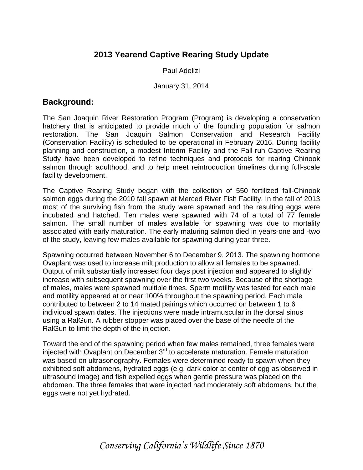## **2013 Yearend Captive Rearing Study Update**

Paul Adelizi

January 31, 2014

## **Background:**

The San Joaquin River Restoration Program (Program) is developing a conservation hatchery that is anticipated to provide much of the founding population for salmon restoration. The San Joaquin Salmon Conservation and Research Facility (Conservation Facility) is scheduled to be operational in February 2016. During facility planning and construction, a modest Interim Facility and the Fall-run Captive Rearing Study have been developed to refine techniques and protocols for rearing Chinook salmon through adulthood, and to help meet reintroduction timelines during full-scale facility development.

The Captive Rearing Study began with the collection of 550 fertilized fall-Chinook salmon eggs during the 2010 fall spawn at Merced River Fish Facility. In the fall of 2013 most of the surviving fish from the study were spawned and the resulting eggs were incubated and hatched. Ten males were spawned with 74 of a total of 77 female salmon. The small number of males available for spawning was due to mortality associated with early maturation. The early maturing salmon died in years-one and -two of the study, leaving few males available for spawning during year-three.

Spawning occurred between November 6 to December 9, 2013. The spawning hormone Ovaplant was used to increase milt production to allow all females to be spawned. Output of milt substantially increased four days post injection and appeared to slightly increase with subsequent spawning over the first two weeks. Because of the shortage of males, males were spawned multiple times. Sperm motility was tested for each male and motility appeared at or near 100% throughout the spawning period. Each male contributed to between 2 to 14 mated pairings which occurred on between 1 to 6 individual spawn dates. The injections were made intramuscular in the dorsal sinus using a RalGun. A rubber stopper was placed over the base of the needle of the RalGun to limit the depth of the injection.

Toward the end of the spawning period when few males remained, three females were injected with Ovaplant on December  $3<sup>rd</sup>$  to accelerate maturation. Female maturation was based on ultrasonography. Females were determined ready to spawn when they exhibited soft abdomens, hydrated eggs (e.g. dark color at center of egg as observed in ultrasound image) and fish expelled eggs when gentle pressure was placed on the abdomen. The three females that were injected had moderately soft abdomens, but the eggs were not yet hydrated.

*Conserving California's Wildlife Since 1870*